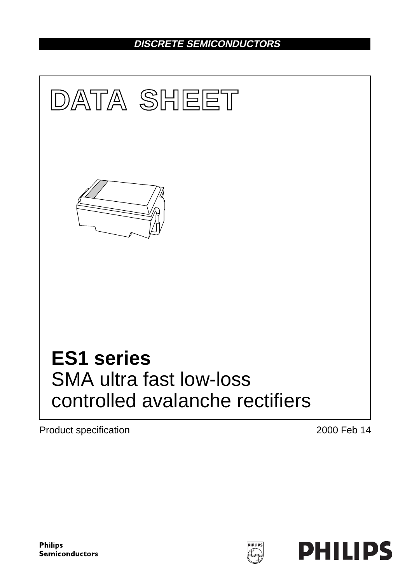## **DISCRETE SEMICONDUCTORS**



Product specification **2000** Feb 14

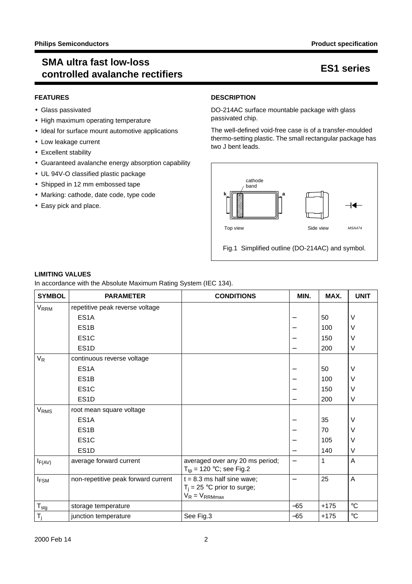## **SMA ultra fast low-loss controlled avalanche rectifiers ES1 series**

### **FEATURES**

- Glass passivated
- High maximum operating temperature
- Ideal for surface mount automotive applications
- Low leakage current
- Excellent stability
- Guaranteed avalanche energy absorption capability
- UL 94V-O classified plastic package
- Shipped in 12 mm embossed tape
- Marking: cathode, date code, type code
- Easy pick and place.

### **DESCRIPTION**

DO-214AC surface mountable package with glass passivated chip.

The well-defined void-free case is of a transfer-moulded thermo-setting plastic. The small rectangular package has two J bent leads.



**LIMITING VALUES**

In accordance with the Absolute Maximum Rating System (IEC 134).

| <b>SYMBOL</b>          | <b>PARAMETER</b>                    | <b>CONDITIONS</b>                                   | MIN.                     | MAX.   | <b>UNIT</b>     |
|------------------------|-------------------------------------|-----------------------------------------------------|--------------------------|--------|-----------------|
| <b>V<sub>RRM</sub></b> | repetitive peak reverse voltage     |                                                     |                          |        |                 |
|                        | ES <sub>1</sub> A                   |                                                     |                          | 50     | V               |
|                        | ES <sub>1</sub> B                   |                                                     |                          | 100    | V               |
|                        | ES <sub>1</sub> C                   |                                                     |                          | 150    | V               |
|                        | ES <sub>1</sub> D                   |                                                     | —                        | 200    | $\vee$          |
| V <sub>R</sub>         | continuous reverse voltage          |                                                     |                          |        |                 |
|                        | ES <sub>1</sub> A                   |                                                     |                          | 50     | V               |
|                        | ES <sub>1</sub> B                   |                                                     |                          | 100    | V               |
|                        | ES <sub>1</sub> C                   |                                                     |                          | 150    | V               |
|                        | ES <sub>1</sub> D                   |                                                     |                          | 200    | $\vee$          |
| V <sub>RMS</sub>       | root mean square voltage            |                                                     |                          |        |                 |
|                        | ES <sub>1</sub> A                   |                                                     |                          | 35     | V               |
|                        | ES <sub>1</sub> B                   |                                                     |                          | 70     | V               |
|                        | ES <sub>1</sub> C                   |                                                     |                          | 105    | V               |
|                        | ES <sub>1</sub> D                   |                                                     | —                        | 140    | $\vee$          |
| $I_{F(AV)}$            | average forward current             | averaged over any 20 ms period;                     | $\overline{\phantom{0}}$ | 1      | Α               |
|                        |                                     | $T_{tp}$ = 120 °C; see Fig.2                        |                          |        |                 |
| <b>IFSM</b>            | non-repetitive peak forward current | $t = 8.3$ ms half sine wave;                        |                          | 25     | A               |
|                        |                                     | $T_i = 25$ °C prior to surge;<br>$V_R = V_{RRMmax}$ |                          |        |                 |
| $T_{\text{stg}}$       | storage temperature                 |                                                     | $-65$                    | $+175$ | $\rm ^{\circ}C$ |
|                        |                                     |                                                     |                          |        |                 |
| $T_i$                  | junction temperature                | See Fig.3                                           | $-65$                    | $+175$ | $\rm ^{\circ}C$ |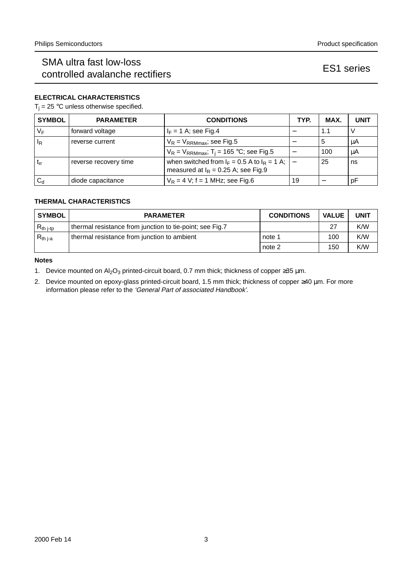## SMA ultra fast low-loss controlled avalanche rectifiers expressed and the series ES1 series

### **ELECTRICAL CHARACTERISTICS**

 $T_i = 25$  °C unless otherwise specified.

| <b>SYMBOL</b>  | <b>PARAMETER</b>      | <b>CONDITIONS</b>                                                                               | TYP. | MAX. | <b>UNIT</b> |
|----------------|-----------------------|-------------------------------------------------------------------------------------------------|------|------|-------------|
| $V_F$          | forward voltage       | $I_F = 1$ A; see Fig.4                                                                          |      | 1.1  |             |
| <sup>I</sup> R | reverse current       | $V_R$ = $V_{RRMmax}$ ; see Fig.5                                                                | –    | -5   | μA          |
|                |                       | $V_R = V_{RRMmax}$ ; T <sub>i</sub> = 165 °C; see Fig.5                                         |      | 100  | μA          |
| $t_{rr}$       | reverse recovery time | when switched from $I_F = 0.5$ A to $I_R = 1$ A; $I -$<br>measured at $I_R$ = 0.25 A; see Fig.9 |      | 25   | ns          |
| $C_{d}$        | diode capacitance     | $V_R = 4$ V; f = 1 MHz; see Fig.6                                                               | 19   |      | pF          |

### **THERMAL CHARACTERISTICS**

| <b>SYMBOL</b>                   | <b>PARAMETER</b>                                         | <b>CONDITIONS</b> | <b>VALUE</b> | <b>UNIT</b> |
|---------------------------------|----------------------------------------------------------|-------------------|--------------|-------------|
| $\mathsf{R}_{\mathsf{th}}$ j-tp | thermal resistance from junction to tie-point; see Fig.7 |                   | 27           | K/W         |
| $R_{th i-a}$                    | thermal resistance from junction to ambient              | note 1            | 100          | K/W         |
|                                 |                                                          | note 2            | 150          | K/W         |

### **Notes**

- 1. Device mounted on Al<sub>2</sub>O<sub>3</sub> printed-circuit board, 0.7 mm thick; thickness of copper ≥35 µm.
- 2. Device mounted on epoxy-glass printed-circuit board, 1.5 mm thick; thickness of copper ≥40 µm. For more information please refer to the 'General Part of associated Handbook'.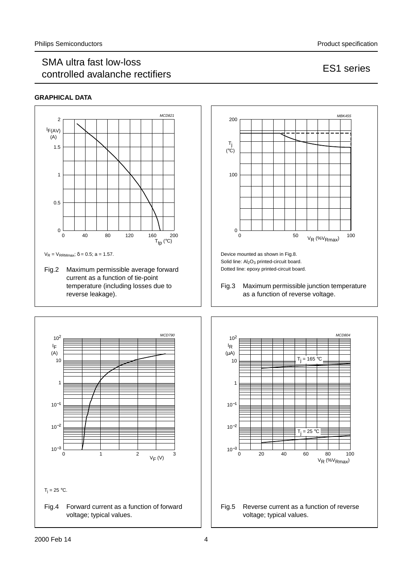### SMA ultra fast low-loss controlled avalanche rectifiers example that the extra series ES1 series

### **GRAPHICAL DATA**





Solid line:  $Al<sub>2</sub>O<sub>3</sub>$  printed-circuit board. Dotted line: epoxy printed-circuit board.

Fig.3 Maximum permissible junction temperature as a function of reverse voltage.



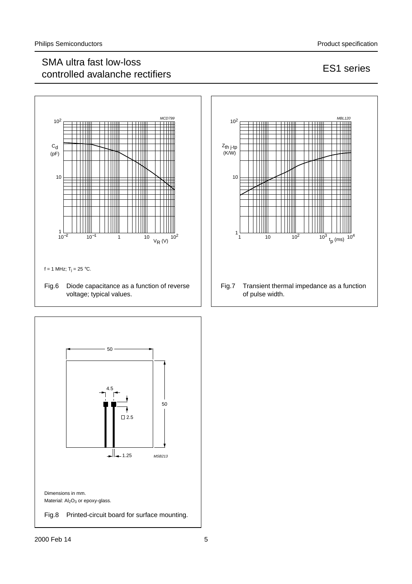## SMA ultra fast low-loss controlled avalanche rectifiers example that the controlled avalanche rectifiers example that the ES1 series



![](_page_4_Figure_4.jpeg)

![](_page_4_Figure_5.jpeg)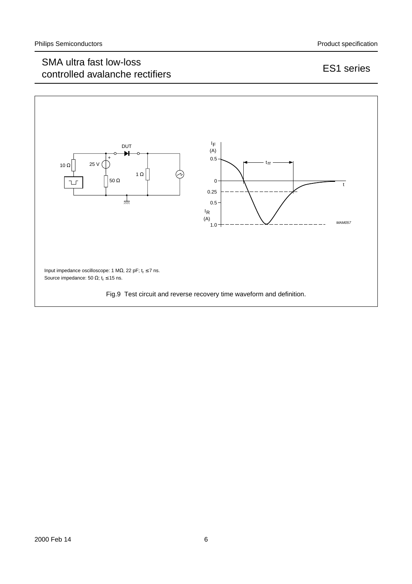## SMA ultra fast low-loss controlled avalanche rectifiers example that the controlled avalanche rectifiers example that the ES1 series

![](_page_5_Figure_4.jpeg)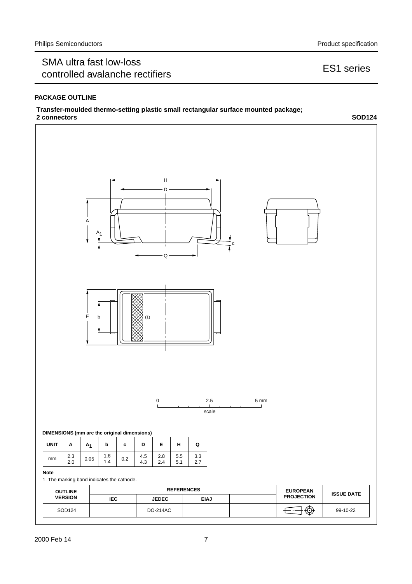## SMA ultra fast low-loss controlled avalanche rectifiers example that the controlled avalanche rectifiers example that the ES1 series

### **PACKAGE OUTLINE**

### **Transfer-moulded thermo-setting plastic small rectangular surface mounted package; 2 connectors SOD124**

![](_page_6_Figure_5.jpeg)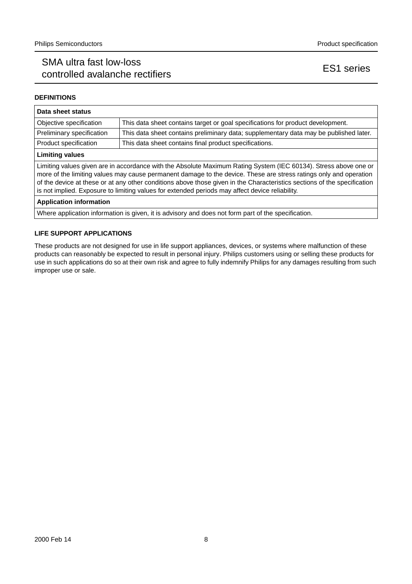## SMA ultra fast low-loss controlled avalanche rectifiers example that the series ES1 series

### **DEFINITIONS**

| Data sheet status                                                                                                                                                                                                                                                                                                                                                                                                                                                    |                                                                                       |  |
|----------------------------------------------------------------------------------------------------------------------------------------------------------------------------------------------------------------------------------------------------------------------------------------------------------------------------------------------------------------------------------------------------------------------------------------------------------------------|---------------------------------------------------------------------------------------|--|
| Objective specification                                                                                                                                                                                                                                                                                                                                                                                                                                              | This data sheet contains target or goal specifications for product development.       |  |
| Preliminary specification                                                                                                                                                                                                                                                                                                                                                                                                                                            | This data sheet contains preliminary data; supplementary data may be published later. |  |
| Product specification<br>This data sheet contains final product specifications.                                                                                                                                                                                                                                                                                                                                                                                      |                                                                                       |  |
| <b>Limiting values</b>                                                                                                                                                                                                                                                                                                                                                                                                                                               |                                                                                       |  |
| Limiting values given are in accordance with the Absolute Maximum Rating System (IEC 60134). Stress above one or<br>more of the limiting values may cause permanent damage to the device. These are stress ratings only and operation<br>of the device at these or at any other conditions above those given in the Characteristics sections of the specification<br>is not implied. Exposure to limiting values for extended periods may affect device reliability. |                                                                                       |  |
| <b>Application information</b>                                                                                                                                                                                                                                                                                                                                                                                                                                       |                                                                                       |  |

Where application information is given, it is advisory and does not form part of the specification.

### **LIFE SUPPORT APPLICATIONS**

These products are not designed for use in life support appliances, devices, or systems where malfunction of these products can reasonably be expected to result in personal injury. Philips customers using or selling these products for use in such applications do so at their own risk and agree to fully indemnify Philips for any damages resulting from such improper use or sale.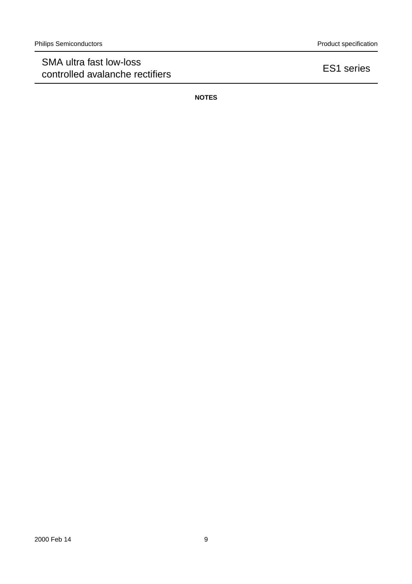## SMA ultra fast low-loss SMA utilia last low-loss<br>
controlled avalanche rectifiers

ES1 series

**NOTES**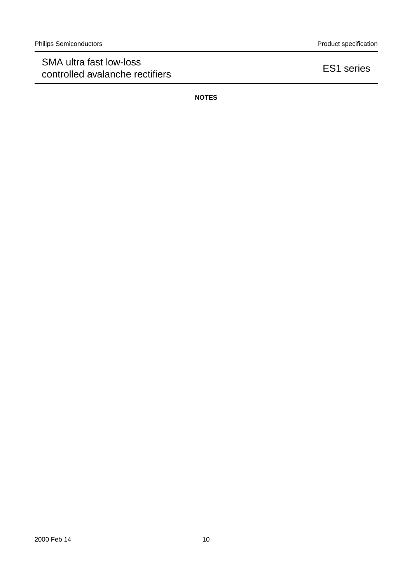## SMA ultra fast low-loss SMA utilia last low-loss<br>
controlled avalanche rectifiers

ES1 series

**NOTES**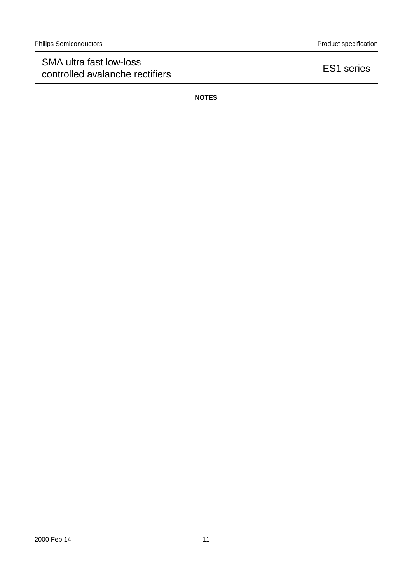## SMA ultra fast low-loss SMA utilia last low-loss<br>
controlled avalanche rectifiers

ES1 series

**NOTES**